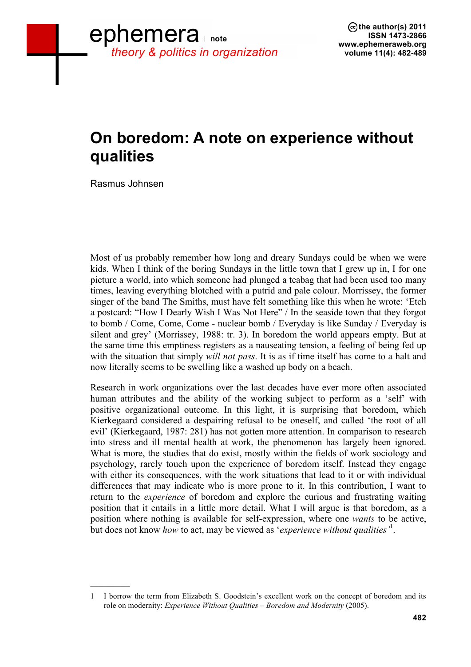# **On boredom: A note on experience without qualities**

Rasmus Johnsen

 $\frac{1}{2}$ 

Most of us probably remember how long and dreary Sundays could be when we were kids. When I think of the boring Sundays in the little town that I grew up in, I for one picture a world, into which someone had plunged a teabag that had been used too many times, leaving everything blotched with a putrid and pale colour. Morrissey, the former singer of the band The Smiths, must have felt something like this when he wrote: 'Etch a postcard: "How I Dearly Wish I Was Not Here" / In the seaside town that they forgot to bomb / Come, Come, Come - nuclear bomb / Everyday is like Sunday / Everyday is silent and grey' (Morrissey, 1988: tr. 3). In boredom the world appears empty. But at the same time this emptiness registers as a nauseating tension, a feeling of being fed up with the situation that simply *will not pass*. It is as if time itself has come to a halt and now literally seems to be swelling like a washed up body on a beach.

Research in work organizations over the last decades have ever more often associated human attributes and the ability of the working subject to perform as a 'self' with positive organizational outcome. In this light, it is surprising that boredom, which Kierkegaard considered a despairing refusal to be oneself, and called 'the root of all evil' (Kierkegaard, 1987: 281) has not gotten more attention. In comparison to research into stress and ill mental health at work, the phenomenon has largely been ignored. What is more, the studies that do exist, mostly within the fields of work sociology and psychology, rarely touch upon the experience of boredom itself. Instead they engage with either its consequences, with the work situations that lead to it or with individual differences that may indicate who is more prone to it. In this contribution, I want to return to the *experience* of boredom and explore the curious and frustrating waiting position that it entails in a little more detail. What I will argue is that boredom, as a position where nothing is available for self-expression, where one *wants* to be active, but does not know *how* to act, may be viewed as '*experience without qualities'*<sup>1</sup> .

<sup>1</sup> I borrow the term from Elizabeth S. Goodstein's excellent work on the concept of boredom and its role on modernity: *Experience Without Qualities – Boredom and Modernity* (2005).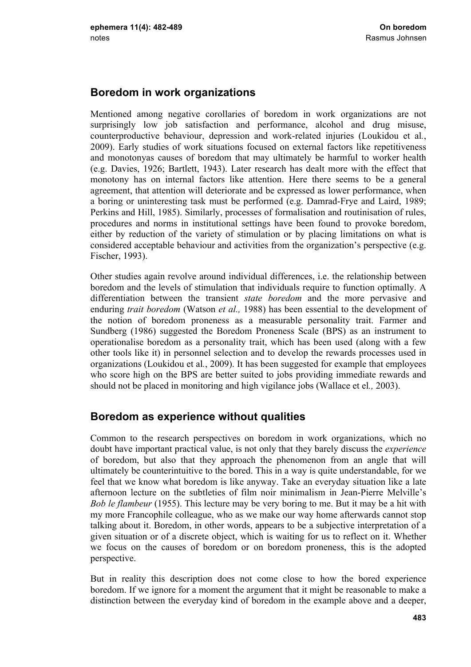## **Boredom in work organizations**

Mentioned among negative corollaries of boredom in work organizations are not surprisingly low job satisfaction and performance, alcohol and drug misuse, counterproductive behaviour, depression and work-related injuries (Loukidou et al*.*, 2009). Early studies of work situations focused on external factors like repetitiveness and monotonyas causes of boredom that may ultimately be harmful to worker health (e.g. Davies, 1926; Bartlett, 1943). Later research has dealt more with the effect that monotony has on internal factors like attention. Here there seems to be a general agreement, that attention will deteriorate and be expressed as lower performance, when a boring or uninteresting task must be performed (e.g. Damrad-Frye and Laird, 1989; Perkins and Hill, 1985). Similarly, processes of formalisation and routinisation of rules, procedures and norms in institutional settings have been found to provoke boredom, either by reduction of the variety of stimulation or by placing limitations on what is considered acceptable behaviour and activities from the organization's perspective (e.g. Fischer, 1993).

Other studies again revolve around individual differences, i.e. the relationship between boredom and the levels of stimulation that individuals require to function optimally. A differentiation between the transient *state boredom* and the more pervasive and enduring *trait boredom* (Watson *et al.,* 1988) has been essential to the development of the notion of boredom proneness as a measurable personality trait. Farmer and Sundberg (1986) suggested the Boredom Proneness Scale (BPS) as an instrument to operationalise boredom as a personality trait, which has been used (along with a few other tools like it) in personnel selection and to develop the rewards processes used in organizations (Loukidou et al*.*, 2009). It has been suggested for example that employees who score high on the BPS are better suited to jobs providing immediate rewards and should not be placed in monitoring and high vigilance jobs (Wallace et el*.,* 2003).

#### **Boredom as experience without qualities**

Common to the research perspectives on boredom in work organizations, which no doubt have important practical value, is not only that they barely discuss the *experience* of boredom, but also that they approach the phenomenon from an angle that will ultimately be counterintuitive to the bored. This in a way is quite understandable, for we feel that we know what boredom is like anyway. Take an everyday situation like a late afternoon lecture on the subtleties of film noir minimalism in Jean-Pierre Melville's *Bob le flambeur* (1955). This lecture may be very boring to me. But it may be a hit with my more Francophile colleague, who as we make our way home afterwards cannot stop talking about it. Boredom, in other words, appears to be a subjective interpretation of a given situation or of a discrete object, which is waiting for us to reflect on it. Whether we focus on the causes of boredom or on boredom proneness, this is the adopted perspective.

But in reality this description does not come close to how the bored experience boredom. If we ignore for a moment the argument that it might be reasonable to make a distinction between the everyday kind of boredom in the example above and a deeper,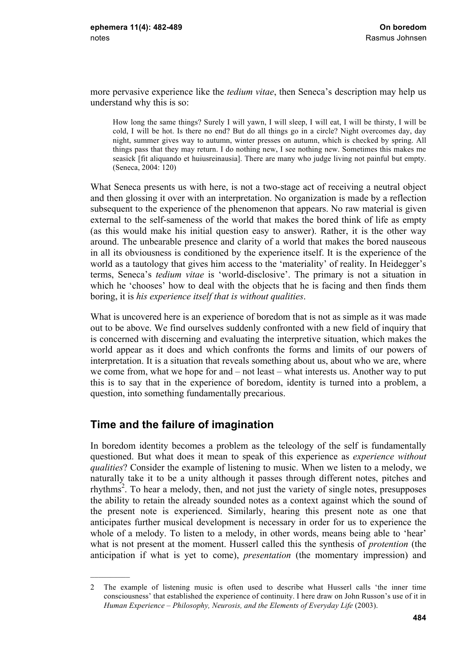more pervasive experience like the *tedium vitae*, then Seneca's description may help us understand why this is so:

How long the same things? Surely I will yawn, I will sleep, I will eat, I will be thirsty, I will be cold, I will be hot. Is there no end? But do all things go in a circle? Night overcomes day, day night, summer gives way to autumn, winter presses on autumn, which is checked by spring. All things pass that they may return. I do nothing new, I see nothing new. Sometimes this makes me seasick [fit aliquando et huiusreinausia]. There are many who judge living not painful but empty. (Seneca, 2004: 120)

What Seneca presents us with here, is not a two-stage act of receiving a neutral object and then glossing it over with an interpretation. No organization is made by a reflection subsequent to the experience of the phenomenon that appears. No raw material is given external to the self-sameness of the world that makes the bored think of life as empty (as this would make his initial question easy to answer). Rather, it is the other way around. The unbearable presence and clarity of a world that makes the bored nauseous in all its obviousness is conditioned by the experience itself. It is the experience of the world as a tautology that gives him access to the 'materiality' of reality. In Heidegger's terms, Seneca's *tedium vitae* is 'world-disclosive'. The primary is not a situation in which he 'chooses' how to deal with the objects that he is facing and then finds them boring, it is *his experience itself that is without qualities*.

What is uncovered here is an experience of boredom that is not as simple as it was made out to be above. We find ourselves suddenly confronted with a new field of inquiry that is concerned with discerning and evaluating the interpretive situation, which makes the world appear as it does and which confronts the forms and limits of our powers of interpretation. It is a situation that reveals something about us, about who we are, where we come from, what we hope for and – not least – what interests us. Another way to put this is to say that in the experience of boredom, identity is turned into a problem, a question, into something fundamentally precarious.

# **Time and the failure of imagination**

 $\frac{1}{2}$ 

In boredom identity becomes a problem as the teleology of the self is fundamentally questioned. But what does it mean to speak of this experience as *experience without qualities*? Consider the example of listening to music. When we listen to a melody, we naturally take it to be a unity although it passes through different notes, pitches and rhythms<sup>2</sup>. To hear a melody, then, and not just the variety of single notes, presupposes the ability to retain the already sounded notes as a context against which the sound of the present note is experienced. Similarly, hearing this present note as one that anticipates further musical development is necessary in order for us to experience the whole of a melody. To listen to a melody, in other words, means being able to 'hear' what is not present at the moment. Husserl called this the synthesis of *protention* (the anticipation if what is yet to come), *presentation* (the momentary impression) and

<sup>2</sup> The example of listening music is often used to describe what Husserl calls 'the inner time consciousness' that established the experience of continuity. I here draw on John Russon's use of it in *Human Experience – Philosophy, Neurosis, and the Elements of Everyday Life* (2003).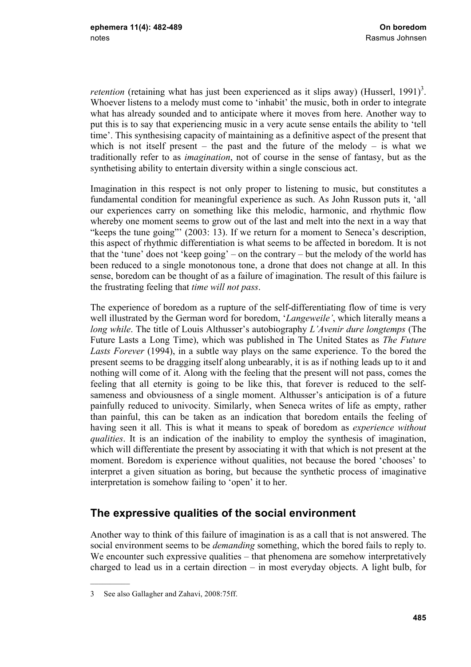*retention* (retaining what has just been experienced as it slips away) (Husserl, 1991)<sup>3</sup>. Whoever listens to a melody must come to 'inhabit' the music, both in order to integrate what has already sounded and to anticipate where it moves from here. Another way to put this is to say that experiencing music in a very acute sense entails the ability to 'tell time'. This synthesising capacity of maintaining as a definitive aspect of the present that which is not itself present – the past and the future of the melody – is what we traditionally refer to as *imagination*, not of course in the sense of fantasy, but as the synthetising ability to entertain diversity within a single conscious act.

Imagination in this respect is not only proper to listening to music, but constitutes a fundamental condition for meaningful experience as such. As John Russon puts it, 'all our experiences carry on something like this melodic, harmonic, and rhythmic flow whereby one moment seems to grow out of the last and melt into the next in a way that "keeps the tune going"' (2003: 13). If we return for a moment to Seneca's description, this aspect of rhythmic differentiation is what seems to be affected in boredom. It is not that the 'tune' does not 'keep going' – on the contrary – but the melody of the world has been reduced to a single monotonous tone, a drone that does not change at all. In this sense, boredom can be thought of as a failure of imagination. The result of this failure is the frustrating feeling that *time will not pass*.

The experience of boredom as a rupture of the self-differentiating flow of time is very well illustrated by the German word for boredom, '*Langeweile'*, which literally means a *long while*. The title of Louis Althusser's autobiography *L'Avenir dure longtemps* (The Future Lasts a Long Time), which was published in The United States as *The Future Lasts Forever* (1994), in a subtle way plays on the same experience. To the bored the present seems to be dragging itself along unbearably, it is as if nothing leads up to it and nothing will come of it. Along with the feeling that the present will not pass, comes the feeling that all eternity is going to be like this, that forever is reduced to the selfsameness and obviousness of a single moment. Althusser's anticipation is of a future painfully reduced to univocity. Similarly, when Seneca writes of life as empty, rather than painful, this can be taken as an indication that boredom entails the feeling of having seen it all. This is what it means to speak of boredom as *experience without qualities*. It is an indication of the inability to employ the synthesis of imagination, which will differentiate the present by associating it with that which is not present at the moment. Boredom is experience without qualities, not because the bored 'chooses' to interpret a given situation as boring, but because the synthetic process of imaginative interpretation is somehow failing to 'open' it to her.

#### **The expressive qualities of the social environment**

Another way to think of this failure of imagination is as a call that is not answered. The social environment seems to be *demanding* something, which the bored fails to reply to. We encounter such expressive qualities – that phenomena are somehow interpretatively charged to lead us in a certain direction – in most everyday objects. A light bulb, for

 $\mathcal{L}=\mathcal{L}$ 

<sup>3</sup> See also Gallagher and Zahavi, 2008:75ff.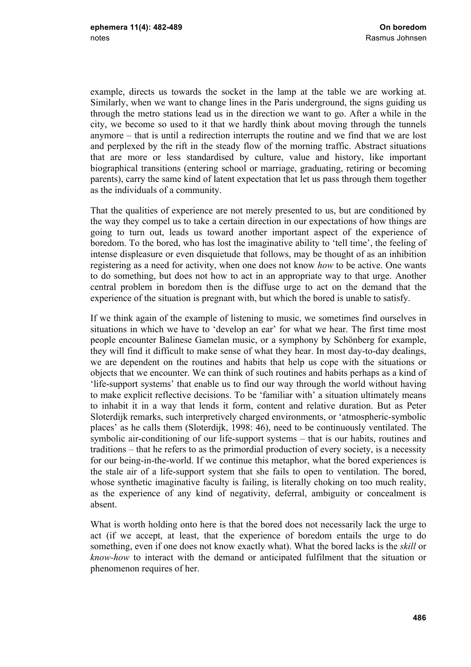example, directs us towards the socket in the lamp at the table we are working at. Similarly, when we want to change lines in the Paris underground, the signs guiding us through the metro stations lead us in the direction we want to go. After a while in the city, we become so used to it that we hardly think about moving through the tunnels anymore – that is until a redirection interrupts the routine and we find that we are lost and perplexed by the rift in the steady flow of the morning traffic. Abstract situations that are more or less standardised by culture, value and history, like important biographical transitions (entering school or marriage, graduating, retiring or becoming parents), carry the same kind of latent expectation that let us pass through them together as the individuals of a community.

That the qualities of experience are not merely presented to us, but are conditioned by the way they compel us to take a certain direction in our expectations of how things are going to turn out, leads us toward another important aspect of the experience of boredom. To the bored, who has lost the imaginative ability to 'tell time', the feeling of intense displeasure or even disquietude that follows, may be thought of as an inhibition registering as a need for activity, when one does not know *how* to be active. One wants to do something, but does not how to act in an appropriate way to that urge. Another central problem in boredom then is the diffuse urge to act on the demand that the experience of the situation is pregnant with, but which the bored is unable to satisfy.

If we think again of the example of listening to music, we sometimes find ourselves in situations in which we have to 'develop an ear' for what we hear. The first time most people encounter Balinese Gamelan music, or a symphony by Schönberg for example, they will find it difficult to make sense of what they hear. In most day-to-day dealings, we are dependent on the routines and habits that help us cope with the situations or objects that we encounter. We can think of such routines and habits perhaps as a kind of 'life-support systems' that enable us to find our way through the world without having to make explicit reflective decisions. To be 'familiar with' a situation ultimately means to inhabit it in a way that lends it form, content and relative duration. But as Peter Sloterdijk remarks, such interpretively charged environments, or 'atmospheric-symbolic places' as he calls them (Sloterdijk, 1998: 46), need to be continuously ventilated. The symbolic air-conditioning of our life-support systems – that is our habits, routines and traditions – that he refers to as the primordial production of every society, is a necessity for our being-in-the-world. If we continue this metaphor, what the bored experiences is the stale air of a life-support system that she fails to open to ventilation. The bored, whose synthetic imaginative faculty is failing, is literally choking on too much reality, as the experience of any kind of negativity, deferral, ambiguity or concealment is absent.

What is worth holding onto here is that the bored does not necessarily lack the urge to act (if we accept, at least, that the experience of boredom entails the urge to do something, even if one does not know exactly what). What the bored lacks is the *skill* or *know-how* to interact with the demand or anticipated fulfilment that the situation or phenomenon requires of her.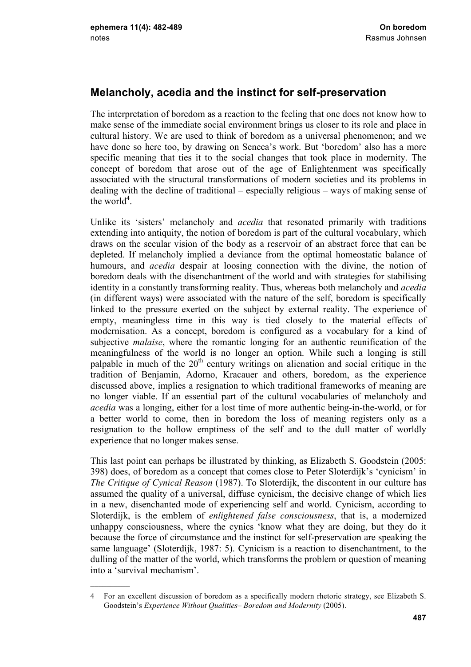$\frac{1}{2}$ 

## **Melancholy, acedia and the instinct for self-preservation**

The interpretation of boredom as a reaction to the feeling that one does not know how to make sense of the immediate social environment brings us closer to its role and place in cultural history. We are used to think of boredom as a universal phenomenon; and we have done so here too, by drawing on Seneca's work. But 'boredom' also has a more specific meaning that ties it to the social changes that took place in modernity. The concept of boredom that arose out of the age of Enlightenment was specifically associated with the structural transformations of modern societies and its problems in dealing with the decline of traditional – especially religious – ways of making sense of the world<sup>4</sup>.

Unlike its 'sisters' melancholy and *acedia* that resonated primarily with traditions extending into antiquity, the notion of boredom is part of the cultural vocabulary, which draws on the secular vision of the body as a reservoir of an abstract force that can be depleted. If melancholy implied a deviance from the optimal homeostatic balance of humours, and *acedia* despair at loosing connection with the divine, the notion of boredom deals with the disenchantment of the world and with strategies for stabilising identity in a constantly transforming reality. Thus, whereas both melancholy and *acedia* (in different ways) were associated with the nature of the self, boredom is specifically linked to the pressure exerted on the subject by external reality. The experience of empty, meaningless time in this way is tied closely to the material effects of modernisation. As a concept, boredom is configured as a vocabulary for a kind of subjective *malaise*, where the romantic longing for an authentic reunification of the meaningfulness of the world is no longer an option. While such a longing is still palpable in much of the  $20<sup>th</sup>$  century writings on alienation and social critique in the tradition of Benjamin, Adorno, Kracauer and others, boredom, as the experience discussed above, implies a resignation to which traditional frameworks of meaning are no longer viable. If an essential part of the cultural vocabularies of melancholy and *acedia* was a longing, either for a lost time of more authentic being-in-the-world, or for a better world to come, then in boredom the loss of meaning registers only as a resignation to the hollow emptiness of the self and to the dull matter of worldly experience that no longer makes sense.

This last point can perhaps be illustrated by thinking, as Elizabeth S. Goodstein (2005: 398) does, of boredom as a concept that comes close to Peter Sloterdijk's 'cynicism' in *The Critique of Cynical Reason* (1987). To Sloterdijk, the discontent in our culture has assumed the quality of a universal, diffuse cynicism, the decisive change of which lies in a new, disenchanted mode of experiencing self and world. Cynicism, according to Sloterdijk, is the emblem of *enlightened false consciousness*, that is, a modernized unhappy consciousness, where the cynics 'know what they are doing, but they do it because the force of circumstance and the instinct for self-preservation are speaking the same language' (Sloterdijk, 1987: 5). Cynicism is a reaction to disenchantment, to the dulling of the matter of the world, which transforms the problem or question of meaning into a 'survival mechanism'.

<sup>4</sup> For an excellent discussion of boredom as a specifically modern rhetoric strategy, see Elizabeth S. Goodstein's *Experience Without Qualities– Boredom and Modernity* (2005).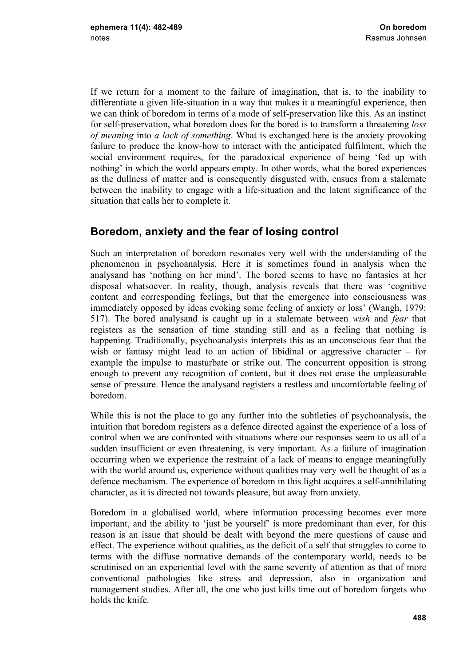If we return for a moment to the failure of imagination, that is, to the inability to differentiate a given life-situation in a way that makes it a meaningful experience, then we can think of boredom in terms of a mode of self-preservation like this. As an instinct for self-preservation, what boredom does for the bored is to transform a threatening *loss of meaning* into *a lack of something*. What is exchanged here is the anxiety provoking failure to produce the know-how to interact with the anticipated fulfilment, which the social environment requires, for the paradoxical experience of being 'fed up with nothing' in which the world appears empty. In other words, what the bored experiences as the dullness of matter and is consequently disgusted with, ensues from a stalemate between the inability to engage with a life-situation and the latent significance of the situation that calls her to complete it.

## **Boredom, anxiety and the fear of losing control**

Such an interpretation of boredom resonates very well with the understanding of the phenomenon in psychoanalysis. Here it is sometimes found in analysis when the analysand has 'nothing on her mind'. The bored seems to have no fantasies at her disposal whatsoever. In reality, though, analysis reveals that there was 'cognitive content and corresponding feelings, but that the emergence into consciousness was immediately opposed by ideas evoking some feeling of anxiety or loss' (Wangh, 1979: 517). The bored analysand is caught up in a stalemate between *wish* and *fear* that registers as the sensation of time standing still and as a feeling that nothing is happening. Traditionally, psychoanalysis interprets this as an unconscious fear that the wish or fantasy might lead to an action of libidinal or aggressive character – for example the impulse to masturbate or strike out. The concurrent opposition is strong enough to prevent any recognition of content, but it does not erase the unpleasurable sense of pressure. Hence the analysand registers a restless and uncomfortable feeling of boredom.

While this is not the place to go any further into the subtleties of psychoanalysis, the intuition that boredom registers as a defence directed against the experience of a loss of control when we are confronted with situations where our responses seem to us all of a sudden insufficient or even threatening, is very important. As a failure of imagination occurring when we experience the restraint of a lack of means to engage meaningfully with the world around us, experience without qualities may very well be thought of as a defence mechanism. The experience of boredom in this light acquires a self-annihilating character, as it is directed not towards pleasure, but away from anxiety.

Boredom in a globalised world, where information processing becomes ever more important, and the ability to 'just be yourself' is more predominant than ever, for this reason is an issue that should be dealt with beyond the mere questions of cause and effect. The experience without qualities, as the deficit of a self that struggles to come to terms with the diffuse normative demands of the contemporary world, needs to be scrutinised on an experiential level with the same severity of attention as that of more conventional pathologies like stress and depression, also in organization and management studies. After all, the one who just kills time out of boredom forgets who holds the knife.